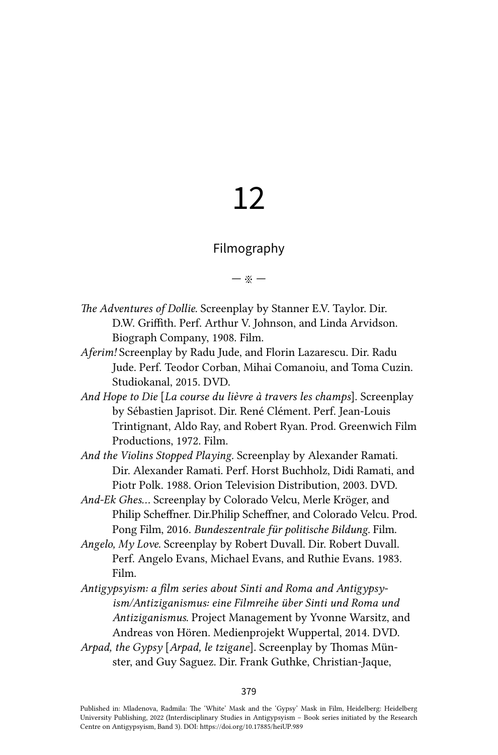# 12

# Filmography

### — ※ —

- *The Adventures of Dollie.* Screenplay by Stanner E.V. Taylor. Dir. D.W. Griffith. Perf. Arthur V. Johnson, and Linda Arvidson. Biograph Company, 1908. Film.
- *Aferim!* Screenplay by Radu Jude, and Florin Lazarescu. Dir. Radu Jude. Perf. Teodor Corban, Mihai Comanoiu, and Toma Cuzin. Studiokanal, 2015. DVD.
- *And Hope to Die* [*La course du lièvre à travers les champs*]. Screenplay by Sébastien Japrisot. Dir. René Clément. Perf. Jean-Louis Trintignant, Aldo Ray, and Robert Ryan. Prod. Greenwich Film Productions, 1972. Film.
- *And the Violins Stopped Playing.* Screenplay by Alexander Ramati. Dir. Alexander Ramati. Perf. Horst Buchholz, Didi Ramati, and Piotr Polk. 1988. Orion Television Distribution, 2003. DVD.
- *And-Ek Ghes...* Screenplay by Colorado Velcu, Merle Kröger, and Philip Scheffner. Dir.Philip Scheffner, and Colorado Velcu. Prod. Pong Film, 2016. *Bundeszentrale für politische Bildung.* Film.
- *Angelo, My Love*. Screenplay by Robert Duvall. Dir. Robert Duvall. Perf. Angelo Evans, Michael Evans, and Ruthie Evans. 1983. Film.
- *Antigypsyism: a film series about Sinti and Roma and Antigypsyism/Antiziganismus: eine Filmreihe über Sinti und Roma und Antiziganismus*. Project Management by Yvonne Warsitz, and Andreas von Hören. Medienprojekt Wuppertal, 2014. DVD.
- *Arpad, the Gypsy* [*Arpad, le tzigane*]*.* Screenplay by Thomas Münster, and Guy Saguez. Dir. Frank Guthke, Christian-Jaque,

Published in: Mladenova, Radmila: The 'White' Mask and the 'Gypsy' Mask in Film, Heidelberg: Heidelberg University Publishing, 2022 (Interdisciplinary Studies in Antigypsyism – Book series initiated by the Research Centre on Antigypsyism, Band 3). DOI:<https://doi.org/10.17885/heiUP.989>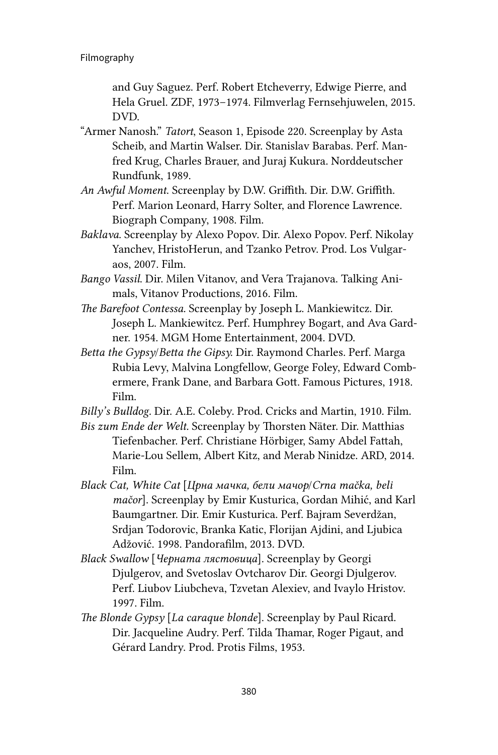and Guy Saguez. Perf. Robert Etcheverry, Edwige Pierre, and Hela Gruel. ZDF, 1973–1974. Filmverlag Fernsehjuwelen, 2015. DVD.

- "Armer Nanosh." *Tatort*, Season 1, Episode 220. Screenplay by Asta Scheib, and Martin Walser. Dir. Stanislav Barabas. Perf. Manfred Krug, Charles Brauer, and Juraj Kukura. Norddeutscher Rundfunk, 1989.
- *An Awful Moment*. Screenplay by D.W. Griffith. Dir. D.W. Griffith. Perf. Marion Leonard, Harry Solter, and Florence Lawrence. Biograph Company, 1908. Film.
- *Baklava*. Screenplay by Alexo Popov. Dir. Alexo Popov. Perf. Nikolay Yanchev, HristoHerun, and Tzanko Petrov. Prod. Los Vulgaraos, 2007. Film.
- *Bango Vassil*. Dir. Milen Vitanov, and Vera Trajanova. Talking Animals, Vitanov Productions, 2016. Film.
- *The Barefoot Contessa.* Screenplay by Joseph L. Mankiewitcz. Dir. Joseph L. Mankiewitcz. Perf. Humphrey Bogart, and Ava Gardner. 1954. MGM Home Entertainment, 2004. DVD.
- *Betta the Gypsy*/*Betta the Gipsy.* Dir. Raymond Charles. Perf. Marga Rubia Levy, Malvina Longfellow, George Foley, Edward Combermere, Frank Dane, and Barbara Gott. Famous Pictures, 1918. Film.
- *Billy's Bulldog.* Dir. A.E. Coleby. Prod. Cricks and Martin, 1910. Film.
- *Bis zum Ende der Welt.* Screenplay by Thorsten Näter. Dir. Matthias Tiefenbacher. Perf. Christiane Hörbiger, Samy Abdel Fattah, Marie-Lou Sellem, Albert Kitz, and Merab Ninidze. ARD, 2014. Film.
- *Black Cat, White Cat* [*Црна мачка, бели мачор*/*Crna mačka, beli mačor*]. Screenplay by Emir Kusturica, Gordan Mihić, and Karl Baumgartner. Dir. Emir Kusturica. Perf. Bajram Severdžan, Srdjan Todorovic, Branka Katic, Florijan Ajdini, and Ljubica Adžović. 1998. Pandorafilm, 2013. DVD.
- *Black Swallow* [*Черната лястовица*]. Screenplay by Georgi Djulgerov, and Svetoslav Ovtcharov Dir. Georgi Djulgerov. Perf. Liubov Liubcheva, Tzvetan Alexiev, and Ivaylo Hristov. 1997. Film.
- *The Blonde Gypsy* [*La caraque blonde*]. Screenplay by Paul Ricard. Dir. Jacqueline Audry. Perf. Tilda Thamar, Roger Pigaut, and Gérard Landry. Prod. Protis Films, 1953.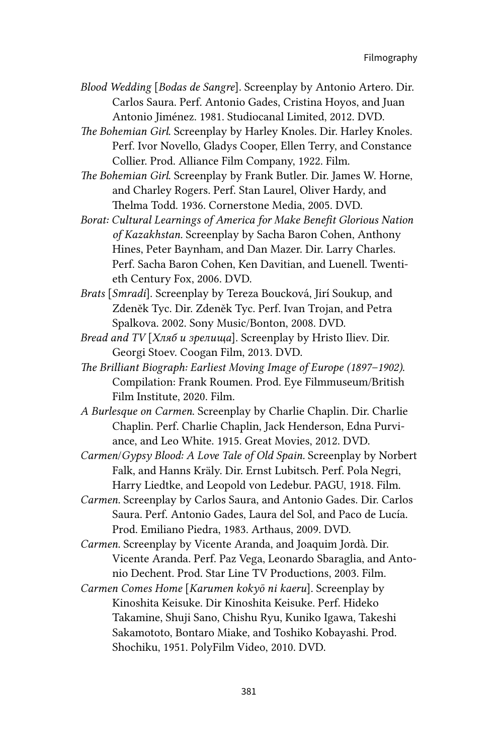- *Blood Wedding* [*Bodas de Sangre*]. Screenplay by Antonio Artero. Dir. Carlos Saura. Perf. Antonio Gades, Cristina Hoyos, and Juan Antonio Jiménez. 1981. Studiocanal Limited, 2012. DVD.
- *The Bohemian Girl*. Screenplay by Harley Knoles. Dir. Harley Knoles. Perf. Ivor Novello, Gladys Cooper, Ellen Terry, and Constance Collier. Prod. Alliance Film Company, 1922. Film.
- *The Bohemian Girl*. Screenplay by Frank Butler. Dir. James W. Horne, and Charley Rogers. Perf. Stan Laurel, Oliver Hardy, and Thelma Todd. 1936. Cornerstone Media, 2005. DVD.
- *Borat: Cultural Learnings of America for Make Benefit Glorious Nation of Kazakhstan.* Screenplay by Sacha Baron Cohen, Anthony Hines, Peter Baynham, and Dan Mazer. Dir. Larry Charles. Perf. Sacha Baron Cohen, Ken Davitian, and Luenell. Twentieth Century Fox, 2006. DVD.
- *Brats* [*Smradi*]. Screenplay by Tereza Boucková, Jirí Soukup, and Zdeněk Tyc. Dir. Zdeněk Tyc. Perf. Ivan Trojan, and Petra Spalkova. 2002. Sony Music/Bonton, 2008. DVD.
- *Bread and TV* [*Хляб и зрелища*]. Screenplay by Hristo Iliev. Dir. Georgi Stoev. Coogan Film, 2013. DVD.
- *The Brilliant Biograph: Earliest Moving Image of Europe (1897–1902)*. Compilation: Frank Roumen. Prod. Eye Filmmuseum/British Film Institute, 2020. Film.
- *A Burlesque on Carmen*. Screenplay by Charlie Chaplin. Dir. Charlie Chaplin. Perf. Charlie Chaplin, Jack Henderson, Edna Purviance, and Leo White. 1915. Great Movies, 2012. DVD.
- *Carmen*/*Gypsy Blood: A Love Tale of Old Spain.* Screenplay by Norbert Falk, and Hanns Kräly. Dir. Ernst Lubitsch. Perf. Pola Negri, Harry Liedtke, and Leopold von Ledebur. PAGU, 1918. Film.
- *Carmen.* Screenplay by Carlos Saura, and Antonio Gades. Dir. Carlos Saura. Perf. Antonio Gades, Laura del Sol, and Paco de Lucía. Prod. Emiliano Piedra, 1983. Arthaus, 2009. DVD.
- *Carmen.* Screenplay by Vicente Aranda, and Joaquim Jordà. Dir. Vicente Aranda. Perf. Paz Vega, Leonardo Sbaraglia, and Antonio Dechent. Prod. Star Line TV Productions, 2003. Film.
- *Carmen Comes Home* [*Karumen kokyō ni kaeru*]. Screenplay by Kinoshita Keisuke. Dir Kinoshita Keisuke. Perf. Hideko Takamine, Shuji Sano, Chishu Ryu, Kuniko Igawa, Takeshi Sakamototo, Bontaro Miake, and Toshiko Kobayashi. Prod. Shochiku, 1951. PolyFilm Video, 2010. DVD.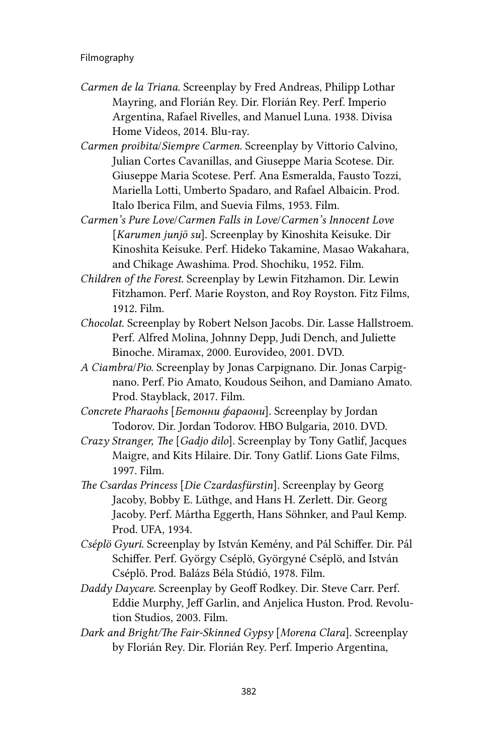# Filmography

- *Carmen de la Triana.* Screenplay by Fred Andreas, Philipp Lothar Mayring, and Florián Rey. Dir. Florián Rey. Perf. Imperio Argentina, Rafael Rivelles, and Manuel Luna. 1938. Divisa Home Videos, 2014. Blu-ray.
- *Carmen proibita*/*Siempre Carmen.* Screenplay by Vittorio Calvino, Julian Cortes Cavanillas, and Giuseppe Maria Scotese. Dir. Giuseppe Maria Scotese. Perf. Ana Esmeralda, Fausto Tozzi, Mariella Lotti, Umberto Spadaro, and Rafael Albaicin. Prod. Italo Iberica Film, and Suevia Films, 1953. Film.
- *Carmen's Pure Love*/*Carmen Falls in Love*/*Carmen's Innocent Love* [*Karumen junjō su*]. Screenplay by Kinoshita Keisuke. Dir Kinoshita Keisuke. Perf. Hideko Takamine, Masao Wakahara, and Chikage Awashima. Prod. Shochiku, 1952. Film.
- *Children of the Forest.* Screenplay by Lewin Fitzhamon. Dir. Lewin Fitzhamon. Perf. Marie Royston, and Roy Royston. Fitz Films, 1912. Film.
- *Chocolat*. Screenplay by Robert Nelson Jacobs. Dir. Lasse Hallstroem. Perf. Alfred Molina, Johnny Depp, Judi Dench, and Juliette Binoche. Miramax, 2000. Eurovideo, 2001. DVD.
- *A Ciambra*/*Pio*. Screenplay by Jonas Carpignano. Dir. Jonas Carpignano. Perf. Pio Amato, Koudous Seihon, and Damiano Amato. Prod. Stayblack, 2017. Film.
- *Concrete Pharaohs* [*Бетонни фараони*]. Screenplay by Jordan Todorov. Dir. Jordan Todorov. HBO Bulgaria, 2010. DVD.
- *Crazy Stranger, The* [*Gadjo dilo*]. Screenplay by Tony Gatlif, Jacques Maigre, and Kits Hilaire. Dir. Tony Gatlif. Lions Gate Films, 1997. Film.
- *The Csardas Princess* [*Die Czardasfürstin*]. Screenplay by Georg Jacoby, Bobby E. Lüthge, and Hans H. Zerlett. Dir. Georg Jacoby. Perf. Mártha Eggerth, Hans Söhnker, and Paul Kemp. Prod. UFA, 1934.
- *Cséplö Gyuri*. Screenplay by István Kemény, and Pál Schiffer. Dir. Pál Schiffer. Perf. György Cséplö, Györgyné Cséplö, and István Cséplö. Prod. Balázs Béla Stúdió, 1978. Film.
- *Daddy Daycare.* Screenplay by Geoff Rodkey. Dir. Steve Carr. Perf. Eddie Murphy, Jeff Garlin, and Anjelica Huston. Prod. Revolution Studios, 2003. Film.
- *Dark and Bright/The Fair-Skinned Gypsy* [*Morena Clara*]. Screenplay by Florián Rey. Dir. Florián Rey. Perf. Imperio Argentina,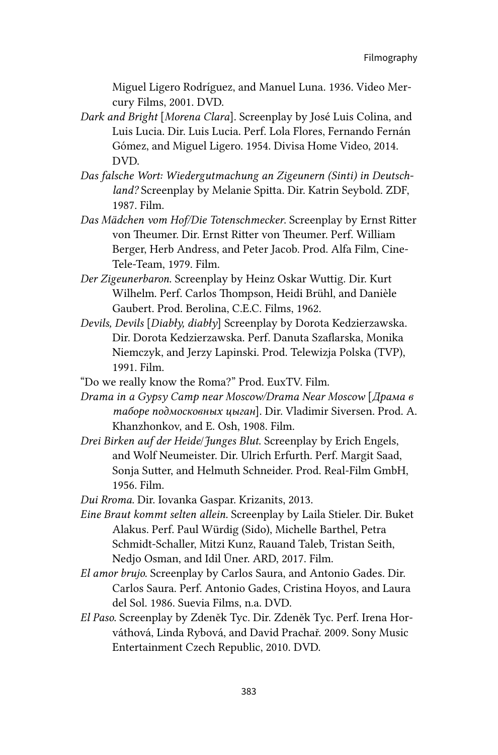Miguel Ligero Rodríguez, and Manuel Luna. 1936. Video Mercury Films, 2001. DVD.

- *Dark and Bright* [*Morena Clara*]*.* Screenplay by José Luis Colina, and Luis Lucia. Dir. Luis Lucia. Perf. Lola Flores, Fernando Fernán Gómez, and Miguel Ligero. 1954. Divisa Home Video, 2014. DVD.
- *Das falsche Wort: Wiedergutmachung an Zigeunern (Sinti) in Deutschland?* Screenplay by Melanie Spitta. Dir. Katrin Seybold. ZDF, 1987. Film.
- *Das Mädchen vom Hof/Die Totenschmecker*. Screenplay by Ernst Ritter von Theumer. Dir. Ernst Ritter von Theumer. Perf. William Berger, Herb Andress, and Peter Jacob. Prod. Alfa Film, Cine-Tele-Team, 1979. Film.
- *Der Zigeunerbaron*. Screenplay by Heinz Oskar Wuttig. Dir. Kurt Wilhelm. Perf. Carlos Thompson, Heidi Brühl, and Danièle Gaubert. Prod. Berolina, C.E.C. Films, 1962.
- *Devils, Devils* [*Diabły, diabły*] Screenplay by Dorota Kedzierzawska. Dir. Dorota Kedzierzawska. Perf. Danuta Szaflarska, Monika Niemczyk, and Jerzy Lapinski. Prod. Telewizja Polska (TVP), 1991. Film.
- "Do we really know the Roma?" Prod. EuxTV. Film.
- *Drama in a Gypsy Camp near Moscow/Drama Near Moscow* [*Драма в таборе подмосковных цыган*]. Dir. Vladimir Siversen. Prod. A. Khanzhonkov, and E. Osh, 1908. Film.
- *Drei Birken auf der Heide*/*Junges Blut*. Screenplay by Erich Engels, and Wolf Neumeister. Dir. Ulrich Erfurth. Perf. Margit Saad, Sonja Sutter, and Helmuth Schneider. Prod. Real-Film GmbH, 1956. Film.

*Dui Rroma.* Dir. Iovanka Gaspar. Krizanits, 2013.

- *Eine Braut kommt selten allein.* Screenplay by Laila Stieler. Dir. Buket Alakus. Perf. Paul Würdig (Sido), Michelle Barthel, Petra Schmidt-Schaller, Mitzi Kunz, Rauand Taleb, Tristan Seith, Nedjo Osman, and Idil Üner. ARD, 2017. Film.
- *El amor brujo.* Screenplay by Carlos Saura, and Antonio Gades. Dir. Carlos Saura. Perf. Antonio Gades, Cristina Hoyos, and Laura del Sol. 1986. Suevia Films, n.a. DVD.
- *El Paso*. Screenplay by Zdeněk Tyc. Dir. Zdeněk Tyc. Perf. Irena Horváthová, Linda Rybová, and David Prachař. 2009. Sony Music Entertainment Czech Republic, 2010. DVD.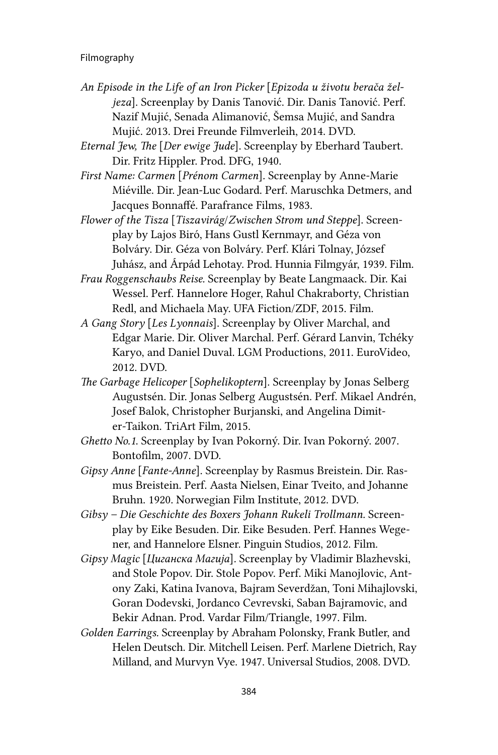## Filmography

- *An Episode in the Life of an Iron Picker* [*Epizoda u životu berača željeza*]. Screenplay by Danis Tanović. Dir. Danis Tanović. Perf. Nazif Mujić, Senada Alimanović, Šemsa Mujić, and Sandra Mujić. 2013. Drei Freunde Filmverleih, 2014. DVD.
- *Eternal Jew, The* [*Der ewige Jude*]. Screenplay by Eberhard Taubert. Dir. Fritz Hippler. Prod. DFG, 1940.
- *First Name: Carmen* [*Prénom Carmen*]*.* Screenplay by Anne-Marie Miéville. Dir. Jean-Luc Godard. Perf. Maruschka Detmers, and Jacques Bonnaffé. Parafrance Films, 1983.
- *Flower of the Tisza* [*Tiszavirág*/*Zwischen Strom und Steppe*]. Screenplay by Lajos Biró, Hans Gustl Kernmayr, and Géza von Bolváry. Dir. Géza von Bolváry. Perf. Klári Tolnay, József Juhász, and Árpád Lehotay. Prod. Hunnia Filmgyár, 1939. Film.
- *Frau Roggenschaubs Reise.* Screenplay by Beate Langmaack. Dir. Kai Wessel. Perf. Hannelore Hoger, Rahul Chakraborty, Christian Redl, and Michaela May. UFA Fiction/ZDF, 2015. Film.
- *A Gang Story* [*Les Lyonnais*]. Screenplay by Oliver Marchal, and Edgar Marie. Dir. Oliver Marchal. Perf. Gérard Lanvin, Tchéky Karyo, and Daniel Duval. LGM Productions, 2011. EuroVideo, 2012. DVD.
- *The Garbage Helicoper* [*Sophelikoptern*]. Screenplay by Jonas Selberg Augustsén. Dir. Jonas Selberg Augustsén. Perf. Mikael Andrén, Josef Balok, Christopher Burjanski, and Angelina Dimiter-Taikon. TriArt Film, 2015.
- *Ghetto No.1*. Screenplay by Ivan Pokorný. Dir. Ivan Pokorný. 2007. Bontofilm, 2007. DVD.
- *Gipsy Anne* [*Fante-Anne*]. Screenplay by Rasmus Breistein. Dir. Rasmus Breistein. Perf. Aasta Nielsen, Einar Tveito, and Johanne Bruhn. 1920. Norwegian Film Institute, 2012. DVD.
- *Gibsy Die Geschichte des Boxers Johann Rukeli Trollmann.* Screenplay by Eike Besuden. Dir. Eike Besuden. Perf. Hannes Wegener, and Hannelore Elsner. Pinguin Studios, 2012. Film.
- *Gipsy Magic* [*Циганска Магија*]*.* Screenplay by Vladimir Blazhevski, and Stole Popov. Dir. Stole Popov. Perf. Miki Manojlovic, Antony Zaki, Katina Ivanova, Bajram Severdžan, Toni Mihajlovski, Goran Dodevski, Jordanco Cevrevski, Saban Bajramovic, and Bekir Adnan. Prod. Vardar Film/Triangle, 1997. Film.
- *Golden Earrings.* Screenplay by Abraham Polonsky, Frank Butler, and Helen Deutsch. Dir. Mitchell Leisen. Perf. Marlene Dietrich, Ray Milland, and Murvyn Vye. 1947. Universal Studios, 2008. DVD.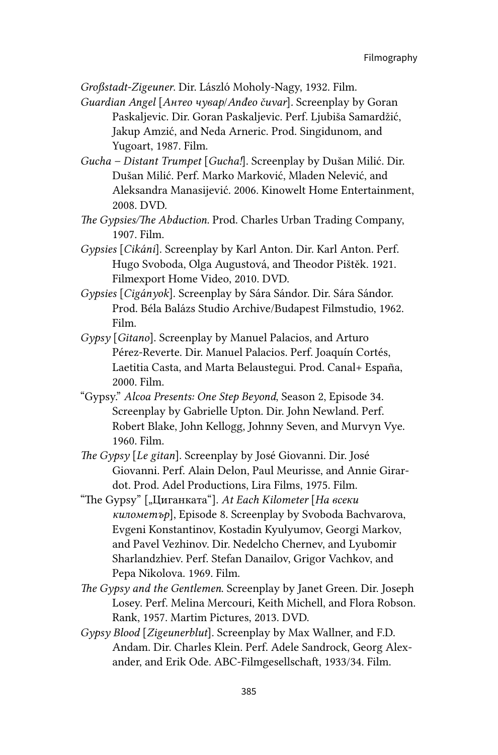*Großstadt-Zigeuner*. Dir. László Moholy-Nagy, 1932. Film.

*Guardian Angel [Антео чувар/Anđeo čuvar]. Screenplay by Goran* Paskaljevic. Dir. Goran Paskaljevic. Perf. Ljubiša Samardžić, Jakup Amzić, and Neda Arneric. Prod. Singidunom, and Yugoart, 1987. Film.

*Gucha – Distant Trumpet* [*Gucha!*]. Screenplay by Dušan Milić. Dir. Dušan Milić. Perf. Marko Marković, Mladen Nelević, and Aleksandra Manasijević. 2006. Kinowelt Home Entertainment, 2008. DVD.

*The Gypsies/The Abduction.* Prod. Charles Urban Trading Company, 1907. Film.

- *Gypsies* [*Cikáni*]. Screenplay by Karl Anton. Dir. Karl Anton. Perf. Hugo Svoboda, Olga Augustová, and Theodor Pištěk. 1921. Filmexport Home Video, 2010. DVD.
- *Gypsies* [*Cigányok*]. Screenplay by Sára Sándor. Dir. Sára Sándor. Prod. Béla Balázs Studio Archive/Budapest Filmstudio, 1962. Film.
- *Gypsy* [*Gitano*]. Screenplay by Manuel Palacios, and Arturo Pérez-Reverte. Dir. Manuel Palacios. Perf. Joaquín Cortés, Laetitia Casta, and Marta Belaustegui. Prod. Canal+ España, 2000. Film.
- "Gypsy." *Alcoa Presents: One Step Beyond*, Season 2, Episode 34. Screenplay by Gabrielle Upton. Dir. John Newland. Perf. Robert Blake, John Kellogg, Johnny Seven, and Murvyn Vye. 1960. Film.
- *The Gypsy* [*Le gitan*]. Screenplay by José Giovanni. Dir. José Giovanni. Perf. Alain Delon, Paul Meurisse, and Annie Girardot. Prod. Adel Productions, Lira Films, 1975. Film.
- "The Gypsy" ["Циганката"]. *At Each Kilometer* [*На всеки километър*], Episode 8. Screenplay by Svoboda Bachvarova, Evgeni Konstantinov, Kostadin Kyulyumov, Georgi Markov, and Pavel Vezhinov. Dir. Nedelcho Chernev, and Lyubomir Sharlandzhiev. Perf. Stefan Danailov, Grigor Vachkov, and Pepa Nikolova. 1969. Film.
- *The Gypsy and the Gentlemen*. Screenplay by Janet Green. Dir. Joseph Losey. Perf. Melina Mercouri, Keith Michell, and Flora Robson. Rank, 1957. Martim Pictures, 2013. DVD.
- *Gypsy Blood* [*Zigeunerblut*]. Screenplay by Max Wallner, and F.D. Andam. Dir. Charles Klein. Perf. Adele Sandrock, Georg Alexander, and Erik Ode. ABC-Filmgesellschaft, 1933/34. Film.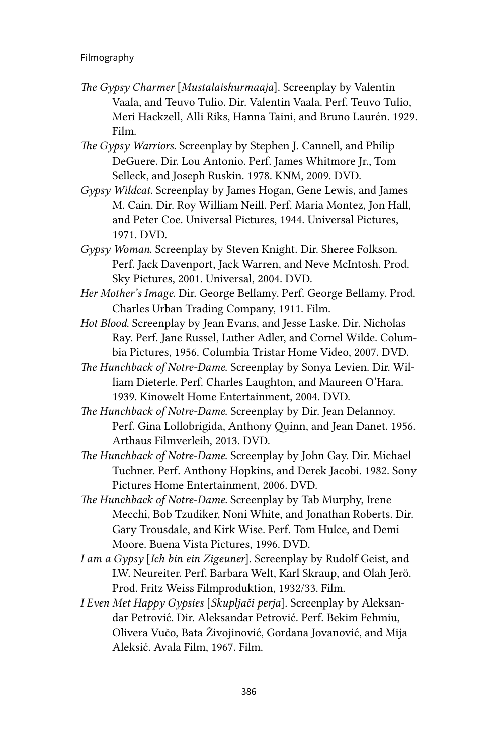- *The Gypsy Charmer* [*Mustalaishurmaaja*]. Screenplay by Valentin Vaala, and Teuvo Tulio. Dir. Valentin Vaala. Perf. Teuvo Tulio, Meri Hackzell, Alli Riks, Hanna Taini, and Bruno Laurén. 1929. Film.
- *The Gypsy Warriors.* Screenplay by Stephen J. Cannell, and Philip DeGuere. Dir. Lou Antonio. Perf. James Whitmore Jr., Tom Selleck, and Joseph Ruskin. 1978. KNM, 2009. DVD.
- *Gypsy Wildcat.* Screenplay by James Hogan, Gene Lewis, and James M. Cain. Dir. Roy William Neill. Perf. Maria Montez, Jon Hall, and Peter Coe. Universal Pictures, 1944. Universal Pictures, 1971. DVD.
- *Gypsy Woman*. Screenplay by Steven Knight. Dir. Sheree Folkson. Perf. Jack Davenport, Jack Warren, and Neve McIntosh. Prod. Sky Pictures, 2001. Universal, 2004. DVD.
- *Her Mother's Image.* Dir. George Bellamy. Perf. George Bellamy. Prod. Charles Urban Trading Company, 1911. Film.
- *Hot Blood.* Screenplay by Jean Evans, and Jesse Laske. Dir. Nicholas Ray. Perf. Jane Russel, Luther Adler, and Cornel Wilde. Columbia Pictures, 1956. Columbia Tristar Home Video, 2007. DVD.
- *The Hunchback of Notre-Dame*. Screenplay by Sonya Levien. Dir. William Dieterle. Perf. Charles Laughton, and Maureen O'Hara. 1939. Kinowelt Home Entertainment, 2004. DVD.
- *The Hunchback of Notre-Dame*. Screenplay by Dir. Jean Delannoy. Perf. Gina Lollobrigida, Anthony Quinn, and Jean Danet. 1956. Arthaus Filmverleih, 2013. DVD.
- *The Hunchback of Notre-Dame*. Screenplay by John Gay. Dir. Michael Tuchner. Perf. Anthony Hopkins, and Derek Jacobi. 1982. Sony Pictures Home Entertainment, 2006. DVD.
- *The Hunchback of Notre-Dame.* Screenplay by Tab Murphy, Irene Mecchi, Bob Tzudiker, Noni White, and Jonathan Roberts. Dir. Gary Trousdale, and Kirk Wise. Perf. Tom Hulce, and Demi Moore. Buena Vista Pictures, 1996. DVD.
- *I am a Gypsy* [*Ich bin ein Zigeuner*]. Screenplay by Rudolf Geist, and I.W. Neureiter. Perf. Barbara Welt, Karl Skraup, and Olah Jerö. Prod. Fritz Weiss Filmproduktion, 1932/33. Film.
- *I Even Met Happy Gypsies* [*Skupljači perja*]. Screenplay by Aleksandar Petrović. Dir. Aleksandar Petrović. Perf. Bekim Fehmiu, Olivera Vučo, Bata Živojinović, Gordana Jovanović, and Mija Aleksić. Avala Film, 1967. Film.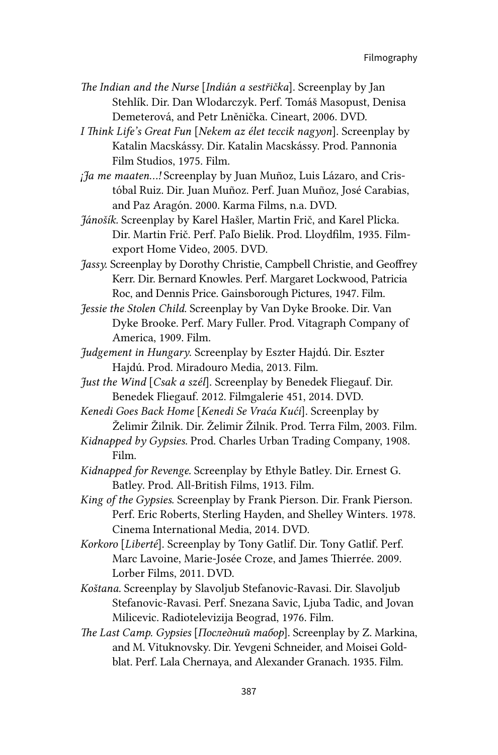- *The Indian and the Nurse* [*Indián a sestřička*]. Screenplay by Jan Stehlík. Dir. Dan Wlodarczyk. Perf. Tomáš Masopust, Denisa Demeterová, and Petr Lněnička. Cineart, 2006. DVD.
- *I Think Life's Great Fun* [*Nekem az élet teccik nagyon*]. Screenplay by Katalin Macskássy. Dir. Katalin Macskássy. Prod. Pannonia Film Studios, 1975. Film.
- *¡Ja me maaten...!* Screenplay by Juan Muñoz, Luis Lázaro, and Cristóbal Ruiz. Dir. Juan Muñoz. Perf. Juan Muñoz, José Carabias, and Paz Aragón. 2000. Karma Films, n.a. DVD.
- *Jánošík.* Screenplay by Karel Hašler, Martin Frič, and Karel Plicka. Dir. Martin Frič. Perf. Paľo Bielik. Prod. Lloydfilm, 1935. Filmexport Home Video, 2005. DVD.
- *Jassy.* Screenplay by Dorothy Christie, Campbell Christie, and Geoffrey Kerr. Dir. Bernard Knowles. Perf. Margaret Lockwood, Patricia Roc, and Dennis Price. Gainsborough Pictures, 1947. Film.
- *Jessie the Stolen Child.* Screenplay by Van Dyke Brooke. Dir. Van Dyke Brooke. Perf. Mary Fuller. Prod. Vitagraph Company of America, 1909. Film.
- *Judgement in Hungary*. Screenplay by Eszter Hajdú. Dir. Eszter Hajdú. Prod. Miradouro Media, 2013. Film.
- *Just the Wind* [*Csak a szél*]. Screenplay by Benedek Fliegauf. Dir. Benedek Fliegauf. 2012. Filmgalerie 451, 2014. DVD.
- *Kenedi Goes Back Home* [*Kenedi Se Vraća Kući*]. Screenplay by Želimir Žilnik. Dir. Želimir Žilnik. Prod. Terra Film, 2003. Film.
- *Kidnapped by Gypsies.* Prod. Charles Urban Trading Company, 1908. Film.
- *Kidnapped for Revenge.* Screenplay by Ethyle Batley. Dir. Ernest G. Batley. Prod. All-British Films, 1913. Film.
- *King of the Gypsies*. Screenplay by Frank Pierson. Dir. Frank Pierson. Perf. Eric Roberts, Sterling Hayden, and Shelley Winters. 1978. Cinema International Media, 2014. DVD.
- *Korkoro* [*Liberté*]. Screenplay by Tony Gatlif. Dir. Tony Gatlif. Perf. Marc Lavoine, Marie-Josée Croze, and James Thierrée. 2009. Lorber Films, 2011. DVD.
- *Koštana.* Screenplay by Slavoljub Stefanovic-Ravasi. Dir. Slavoljub Stefanovic-Ravasi. Perf. Snezana Savic, Ljuba Tadic, and Jovan Milicevic. Radiotelevizija Beograd, 1976. Film.
- *The Last Camp. Gypsies* [*Последний табор*]. Screenplay by Z. Markina, and M. Vituknovsky. Dir. Yevgeni Schneider, and Moisei Goldblat. Perf. Lala Chernaya, and Alexander Granach. 1935. Film.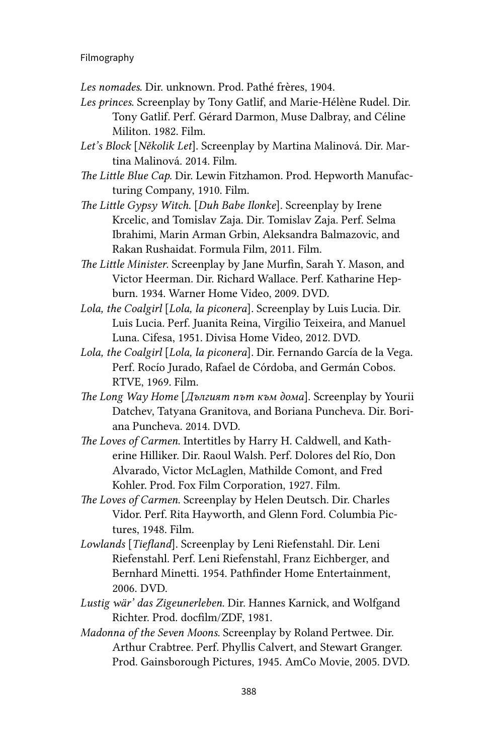## Filmography

- *Les nomades*. Dir. unknown. Prod. Pathé frères, 1904.
- *Les princes*. Screenplay by Tony Gatlif, and Marie-Hélène Rudel. Dir. Tony Gatlif. Perf. Gérard Darmon, Muse Dalbray, and Céline Militon. 1982. Film.
- *Let's Block* [*Několik Let*]. Screenplay by Martina Malinová. Dir. Martina Malinová. 2014. Film.
- *The Little Blue Cap.* Dir. Lewin Fitzhamon. Prod. Hepworth Manufacturing Company, 1910. Film.
- *The Little Gypsy Witch.* [*Duh Babe Ilonke*]. Screenplay by Irene Krcelic, and Tomislav Zaja. Dir. Tomislav Zaja. Perf. Selma Ibrahimi, Marin Arman Grbin, Aleksandra Balmazovic, and Rakan Rushaidat. Formula Film, 2011. Film.
- *The Little Minister*. Screenplay by Jane Murfin, Sarah Y. Mason, and Victor Heerman. Dir. Richard Wallace. Perf. Katharine Hepburn. 1934. Warner Home Video, 2009. DVD.
- *Lola, the Coalgirl* [*Lola, la piconera*]*.* Screenplay by Luis Lucia. Dir. Luis Lucia. Perf. Juanita Reina, Virgilio Teixeira, and Manuel Luna. Cifesa, 1951. Divisa Home Video, 2012. DVD.
- *Lola, the Coalgirl* [*Lola, la piconera*]*.* Dir. Fernando García de la Vega. Perf. Rocío Jurado, Rafael de Córdoba, and Germán Cobos. RTVE, 1969. Film.
- *The Long Way Home* [*Дългият път към дома*]. Screenplay by Yourii Datchev, Tatyana Granitova, and Boriana Puncheva. Dir. Boriana Puncheva. 2014. DVD.
- *The Loves of Carmen*. Intertitles by Harry H. Caldwell, and Katherine Hilliker. Dir. Raoul Walsh. Perf. Dolores del Río, Don Alvarado, Victor McLaglen, Mathilde Comont, and Fred Kohler. Prod. Fox Film Corporation, 1927. Film.
- *The Loves of Carmen*. Screenplay by Helen Deutsch. Dir. Charles Vidor. Perf. Rita Hayworth, and Glenn Ford. Columbia Pictures, 1948. Film.
- *Lowlands* [*Tiefland*]. Screenplay by Leni Riefenstahl. Dir. Leni Riefenstahl. Perf. Leni Riefenstahl, Franz Eichberger, and Bernhard Minetti. 1954. Pathfinder Home Entertainment, 2006. DVD.
- *Lustig wär' das Zigeunerleben*. Dir. Hannes Karnick, and Wolfgand Richter. Prod. docfilm/ZDF, 1981.
- *Madonna of the Seven Moons.* Screenplay by Roland Pertwee. Dir. Arthur Crabtree. Perf. Phyllis Calvert, and Stewart Granger. Prod. Gainsborough Pictures, 1945. AmCo Movie, 2005. DVD.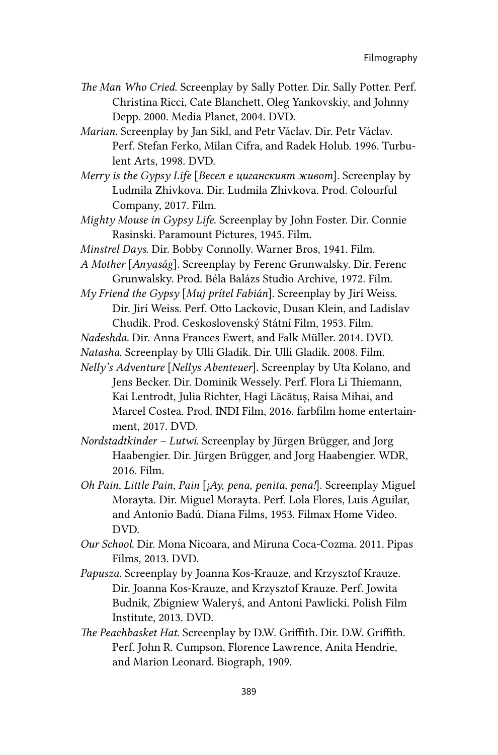- *The Man Who Cried*. Screenplay by Sally Potter. Dir. Sally Potter. Perf. Christina Ricci, Cate Blanchett, Oleg Yankovskiy, and Johnny Depp. 2000. Media Planet, 2004. DVD.
- *Marian*. Screenplay by Jan Sikl, and Petr Václav. Dir. Petr Václav. Perf. Stefan Ferko, Milan Cifra, and Radek Holub. 1996. Turbulent Arts, 1998. DVD.
- *Merry is the Gypsy Life* [*Весел е циганският живот*]. Screenplay by Ludmila Zhivkova. Dir. Ludmila Zhivkova. Prod. Colourful Company, 2017. Film.
- *Mighty Mouse in Gypsy Life*. Screenplay by John Foster. Dir. Connie Rasinski. Paramount Pictures, 1945. Film.
- *Minstrel Days*. Dir. Bobby Connolly. Warner Bros, 1941. Film.
- *A Mother* [*Anyaság*]. Screenplay by Ferenc Grunwalsky. Dir. Ferenc Grunwalsky. Prod. Béla Balázs Studio Archive, 1972. Film.
- *My Friend the Gypsy* [*Muj prítel Fabián*]. Screenplay by Jirí Weiss. Dir. Jirí Weiss. Perf. Otto Lackovic, Dusan Klein, and Ladislav Chudík. Prod. Ceskoslovenský Státní Film, 1953. Film.
- *Nadeshda.* Dir. Anna Frances Ewert, and Falk Müller. 2014. DVD.
- *Natasha*. Screenplay by Ulli Gladik. Dir. Ulli Gladik. 2008. Film.
- *Nelly's Adventure* [*Nellys Abenteuer*]. Screenplay by Uta Kolano, and Jens Becker. Dir. Dominik Wessely. Perf. Flora Li Thiemann, Kai Lentrodt, Julia Richter, Hagi Lăcătuș, Raisa Mihai, and Marcel Costea. Prod. INDI Film, 2016. farbfilm home entertainment, 2017. DVD.
- *Nordstadtkinder Lutwi*. Screenplay by Jürgen Brügger, and Jorg Haabengier. Dir. Jürgen Brügger, and Jorg Haabengier. WDR, 2016. Film.
- *Oh Pain, Little Pain, Pain* [*¡Ay, pena, penita, pena!*]. Screenplay Miguel Morayta. Dir. Miguel Morayta. Perf. Lola Flores, Luis Aguilar, and Antonio Badú. Diana Films, 1953. Filmax Home Video. DVD.
- *Our School*. Dir. Mona Nicoara, and Miruna Coca-Cozma. 2011. Pipas Films, 2013. DVD.
- *Papusza.* Screenplay by Joanna Kos-Krauze, and Krzysztof Krauze. Dir. Joanna Kos-Krauze, and Krzysztof Krauze. Perf. Jowita Budnik, Zbigniew Waleryś, and Antoni Pawlicki. Polish Film Institute, 2013. DVD.
- *The Peachbasket Hat*. Screenplay by D.W. Griffith. Dir. D.W. Griffith. Perf. John R. Cumpson, Florence Lawrence, Anita Hendrie, and Marion Leonard. Biograph, 1909.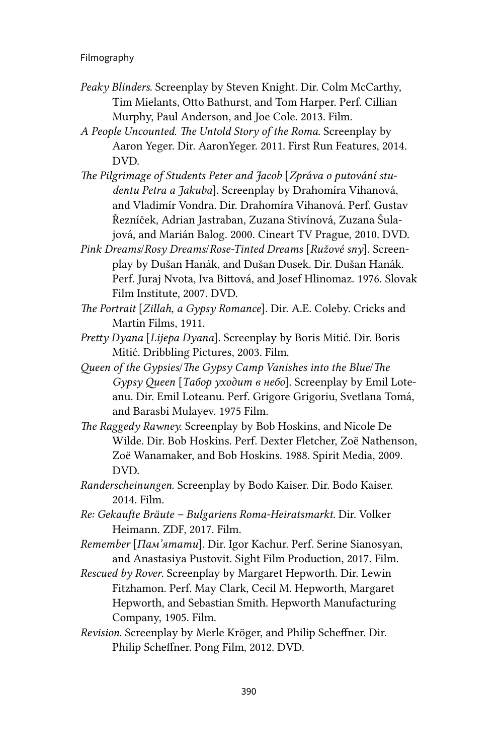- *Peaky Blinders.* Screenplay by Steven Knight. Dir. Colm McCarthy, Tim Mielants, Otto Bathurst, and Tom Harper. Perf. Cillian Murphy, Paul Anderson, and Joe Cole. 2013. Film.
- *A People Uncounted. The Untold Story of the Roma*. Screenplay by Aaron Yeger. Dir. AaronYeger. 2011. First Run Features, 2014. DVD.
- *The Pilgrimage of Students Peter and Jacob* [*Zpráva o putování studentu Petra a Jakuba*]. Screenplay by Drahomíra Vihanová, and Vladimír Vondra. Dir. Drahomíra Vihanová. Perf. Gustav Řezníček, Adrian Jastraban, Zuzana Stivínová, Zuzana Šulajová, and Marián Balog. 2000. Cineart TV Prague, 2010. DVD.
- *Pink Dreams*/*Rosy Dreams*/*Rose-Tinted Dreams* [*Ružové sny*]. Screenplay by Dušan Hanák, and Dušan Dusek. Dir. Dušan Hanák. Perf. Juraj Nvota, Iva Bittová, and Josef Hlinomaz. 1976. Slovak Film Institute, 2007. DVD.
- *The Portrait* [*Zillah, a Gypsy Romance*]*.* Dir. A.E. Coleby. Cricks and Martin Films, 1911.
- *Pretty Dyana* [*Lijepa Dyana*]. Screenplay by Boris Mitić. Dir. Boris Mitić. Dribbling Pictures, 2003. Film.
- *Queen of the Gypsies*/*The Gypsy Camp Vanishes into the Blue*/*The Gypsy Queen* [*Табор уходит в небо*]. Screenplay by Emil Loteanu. Dir. Emil Loteanu. Perf. Grigore Grigoriu, Svetlana Tomá, and Barasbi Mulayev. 1975 Film.
- *The Raggedy Rawney.* Screenplay by Bob Hoskins, and Nicole De Wilde. Dir. Bob Hoskins. Perf. Dexter Fletcher, Zoë Nathenson, Zoë Wanamaker, and Bob Hoskins. 1988. Spirit Media, 2009. DVD.
- *Randerscheinungen*. Screenplay by Bodo Kaiser. Dir. Bodo Kaiser. 2014. Film.
- *Re: Gekaufte Bräute Bulgariens Roma-Heiratsmarkt.* Dir. Volker Heimann. ZDF, 2017. Film.
- *Remember* [*Пам'ятати*]. Dir. Igor Kachur. Perf. Serine Sianosyan, and Anastasiya Pustovit. Sight Film Production, 2017. Film.
- *Rescued by Rover*. Screenplay by Margaret Hepworth. Dir. Lewin Fitzhamon. Perf. May Clark, Cecil M. Hepworth, Margaret Hepworth, and Sebastian Smith. Hepworth Manufacturing Company, 1905. Film.
- *Revision*. Screenplay by Merle Kröger, and Philip Scheffner. Dir. Philip Scheffner. Pong Film, 2012. DVD.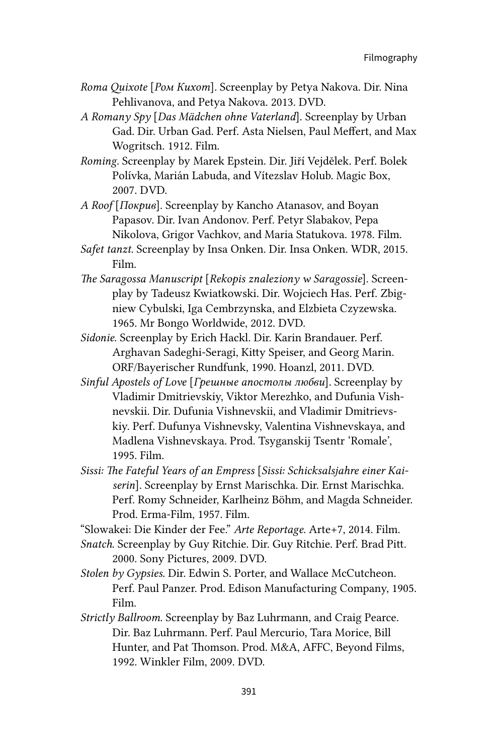- *Roma Quixote* [*Ром Кихот*]*.* Screenplay by Petya Nakova. Dir. Nina Pehlivanova, and Petya Nakova. 2013. DVD.
- *A Romany Spy* [*Das Mädchen ohne Vaterland*]. Screenplay by Urban Gad. Dir. Urban Gad. Perf. Asta Nielsen, Paul Meffert, and Max Wogritsch. 1912. Film.
- *Roming.* Screenplay by Marek Epstein. Dir. Jiří Vejdělek. Perf. Bolek Polívka, Marián Labuda, and Vítezslav Holub. Magic Box, 2007. DVD.
- *A Roof* [*Покрив*]*.* Screenplay by Kancho Atanasov, and Boyan Papasov. Dir. Ivan Andonov. Perf. Petyr Slabakov, Pepa Nikolova, Grigor Vachkov, and Maria Statukova. 1978. Film.
- *Safet tanzt.* Screenplay by Insa Onken. Dir. Insa Onken. WDR, 2015. Film.
- *The Saragossa Manuscript* [*Rekopis znaleziony w Saragossie*]. Screenplay by Tadeusz Kwiatkowski. Dir. Wojciech Has. Perf. Zbigniew Cybulski, Iga Cembrzynska, and Elzbieta Czyzewska. 1965. Mr Bongo Worldwide, 2012. DVD.
- *Sidonie*. Screenplay by Erich Hackl. Dir. Karin Brandauer. Perf. Arghavan Sadeghi-Seragi, Kitty Speiser, and Georg Marin. ORF/Bayerischer Rundfunk, 1990. Hoanzl, 2011. DVD.
- *Sinful Apostels of Love* [*Грешные апостолы любви*]*.* Screenplay by Vladimir Dmitrievskiy, Viktor Merezhko, and Dufunia Vishnevskii. Dir. Dufunia Vishnevskii, and Vladimir Dmitrievskiy. Perf. Dufunya Vishnevsky, Valentina Vishnevskaya, and Madlena Vishnevskaya. Prod. Tsyganskij Tsentr 'Romale', 1995. Film.
- *Sissi: The Fateful Years of an Empress* [*Sissi: Schicksalsjahre einer Kaiserin*]. Screenplay by Ernst Marischka. Dir. Ernst Marischka. Perf. Romy Schneider, Karlheinz Böhm, and Magda Schneider. Prod. Erma-Film, 1957. Film.

"Slowakei: Die Kinder der Fee." *Arte Reportage*. Arte+7, 2014. Film.

- *Snatch*. Screenplay by Guy Ritchie. Dir. Guy Ritchie. Perf. Brad Pitt. 2000. Sony Pictures, 2009. DVD.
- *Stolen by Gypsies.* Dir. Edwin S. Porter, and Wallace McCutcheon. Perf. Paul Panzer. Prod. Edison Manufacturing Company, 1905. Film.
- *Strictly Ballroom*. Screenplay by Baz Luhrmann, and Craig Pearce. Dir. Baz Luhrmann. Perf. Paul Mercurio, Tara Morice, Bill Hunter, and Pat Thomson. Prod. M&A, AFFC, Beyond Films, 1992. Winkler Film, 2009. DVD.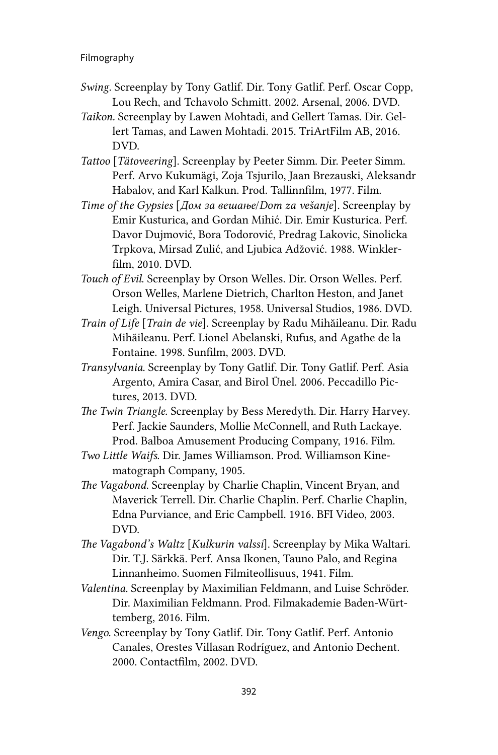- *Swing*. Screenplay by Tony Gatlif. Dir. Tony Gatlif. Perf. Oscar Copp, Lou Rech, and Tchavolo Schmitt. 2002. Arsenal, 2006. DVD.
- *Taikon.* Screenplay by Lawen Mohtadi, and Gellert Tamas. Dir. Gellert Tamas, and Lawen Mohtadi. 2015. TriArtFilm AB, 2016. DVD.
- *Tattoo* [*Tätoveering*]. Screenplay by Peeter Simm. Dir. Peeter Simm. Perf. Arvo Kukumägi, Zoja Tsjurilo, Jaan Brezauski, Aleksandr Habalov, and Karl Kalkun. Prod. Tallinnfilm, 1977. Film.
- *Time of the Gypsies* [*Дом за вешање*/*Dom za vešanje*]. Screenplay by Emir Kusturica, and Gordan Mihić. Dir. Emir Kusturica. Perf. Davor Dujmović, Bora Todorović, Predrag Lakovic, Sinolicka Trpkova, Mirsad Zulić, and Ljubica Adžović. 1988. Winklerfilm, 2010. DVD.
- *Touch of Evil*. Screenplay by Orson Welles. Dir. Orson Welles. Perf. Orson Welles, Marlene Dietrich, Charlton Heston, and Janet Leigh. Universal Pictures, 1958. Universal Studios, 1986. DVD.
- *Train of Life* [*Train de vie*]. Screenplay by Radu Mihăileanu. Dir. Radu Mihăileanu. Perf. Lionel Abelanski, Rufus, and Agathe de la Fontaine. 1998. Sunfilm, 2003. DVD.
- *Transylvania*. Screenplay by Tony Gatlif. Dir. Tony Gatlif. Perf. Asia Argento, Amira Casar, and Birol Ünel. 2006. Peccadillo Pictures, 2013. DVD.
- *The Twin Triangle.* Screenplay by Bess Meredyth. Dir. Harry Harvey. Perf. Jackie Saunders, Mollie McConnell, and Ruth Lackaye. Prod. Balboa Amusement Producing Company, 1916. Film.
- *Two Little Waifs*. Dir. James Williamson. Prod. Williamson Kinematograph Company, 1905.
- *The Vagabond.* Screenplay by Charlie Chaplin, Vincent Bryan, and Maverick Terrell. Dir. Charlie Chaplin. Perf. Charlie Chaplin, Edna Purviance, and Eric Campbell. 1916. BFI Video, 2003. DVD.
- *The Vagabond's Waltz* [*Kulkurin valssi*]. Screenplay by Mika Waltari. Dir. T.J. Särkkä. Perf. Ansa Ikonen, Tauno Palo, and Regina Linnanheimo. Suomen Filmiteollisuus, 1941. Film.
- *Valentina.* Screenplay by Maximilian Feldmann, and Luise Schröder. Dir. Maximilian Feldmann. Prod. Filmakademie Baden-Württemberg, 2016. Film.
- *Vengo*. Screenplay by Tony Gatlif. Dir. Tony Gatlif. Perf. Antonio Canales, Orestes Villasan Rodríguez, and Antonio Dechent. 2000. Contactfilm, 2002. DVD.